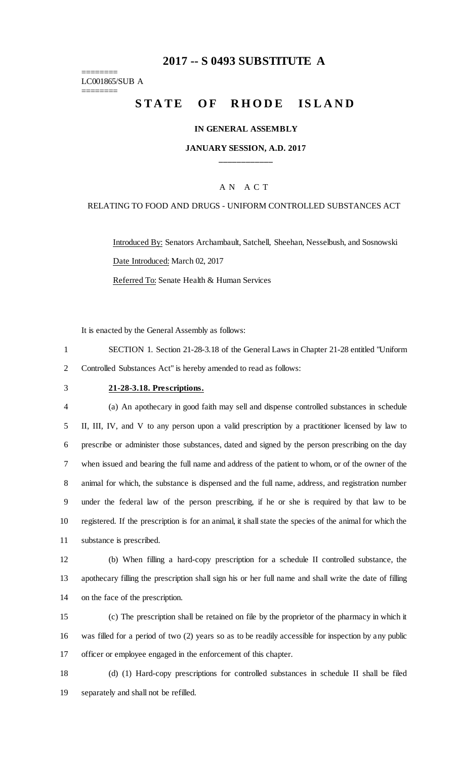# **-- S 0493 SUBSTITUTE A**

======== LC001865/SUB A

========

# STATE OF RHODE ISLAND

#### **IN GENERAL ASSEMBLY**

### **JANUARY SESSION, A.D. 2017 \_\_\_\_\_\_\_\_\_\_\_\_**

### A N A C T

#### RELATING TO FOOD AND DRUGS - UNIFORM CONTROLLED SUBSTANCES ACT

Introduced By: Senators Archambault, Satchell, Sheehan, Nesselbush, and Sosnowski Date Introduced: March 02, 2017

Referred To: Senate Health & Human Services

It is enacted by the General Assembly as follows:

 SECTION 1. Section 21-28-3.18 of the General Laws in Chapter 21-28 entitled "Uniform Controlled Substances Act" is hereby amended to read as follows:

### **21-28-3.18. Prescriptions.**

 (a) An apothecary in good faith may sell and dispense controlled substances in schedule II, III, IV, and V to any person upon a valid prescription by a practitioner licensed by law to prescribe or administer those substances, dated and signed by the person prescribing on the day when issued and bearing the full name and address of the patient to whom, or of the owner of the animal for which, the substance is dispensed and the full name, address, and registration number under the federal law of the person prescribing, if he or she is required by that law to be registered. If the prescription is for an animal, it shall state the species of the animal for which the substance is prescribed.

 (b) When filling a hard-copy prescription for a schedule II controlled substance, the apothecary filling the prescription shall sign his or her full name and shall write the date of filling on the face of the prescription.

 (c) The prescription shall be retained on file by the proprietor of the pharmacy in which it was filled for a period of two (2) years so as to be readily accessible for inspection by any public officer or employee engaged in the enforcement of this chapter.

 (d) (1) Hard-copy prescriptions for controlled substances in schedule II shall be filed separately and shall not be refilled.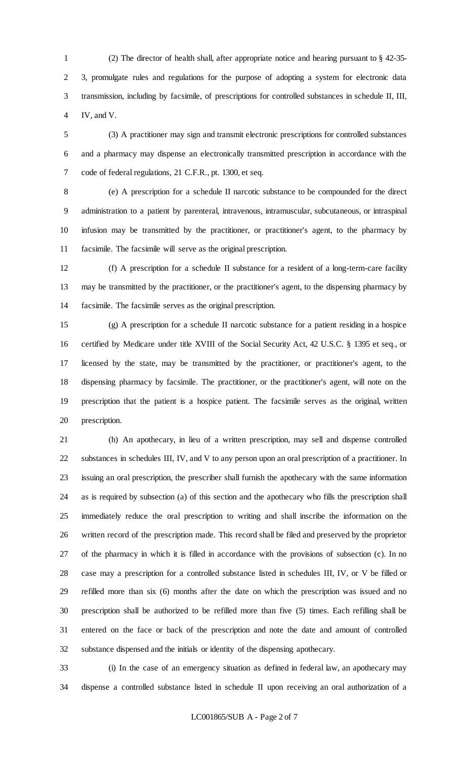(2) The director of health shall, after appropriate notice and hearing pursuant to § 42-35- 3, promulgate rules and regulations for the purpose of adopting a system for electronic data transmission, including by facsimile, of prescriptions for controlled substances in schedule II, III, IV, and V.

 (3) A practitioner may sign and transmit electronic prescriptions for controlled substances and a pharmacy may dispense an electronically transmitted prescription in accordance with the code of federal regulations, 21 C.F.R., pt. 1300, et seq.

(e) A prescription for a schedule II narcotic substance to be compounded for the direct

 administration to a patient by parenteral, intravenous, intramuscular, subcutaneous, or intraspinal infusion may be transmitted by the practitioner, or practitioner's agent, to the pharmacy by facsimile. The facsimile will serve as the original prescription.

 (f) A prescription for a schedule II substance for a resident of a long-term-care facility may be transmitted by the practitioner, or the practitioner's agent, to the dispensing pharmacy by facsimile. The facsimile serves as the original prescription.

 (g) A prescription for a schedule II narcotic substance for a patient residing in a hospice certified by Medicare under title XVIII of the Social Security Act, 42 U.S.C. § 1395 et seq., or licensed by the state, may be transmitted by the practitioner, or practitioner's agent, to the dispensing pharmacy by facsimile. The practitioner, or the practitioner's agent, will note on the prescription that the patient is a hospice patient. The facsimile serves as the original, written prescription.

 (h) An apothecary, in lieu of a written prescription, may sell and dispense controlled substances in schedules III, IV, and V to any person upon an oral prescription of a practitioner. In issuing an oral prescription, the prescriber shall furnish the apothecary with the same information as is required by subsection (a) of this section and the apothecary who fills the prescription shall immediately reduce the oral prescription to writing and shall inscribe the information on the written record of the prescription made. This record shall be filed and preserved by the proprietor of the pharmacy in which it is filled in accordance with the provisions of subsection (c). In no case may a prescription for a controlled substance listed in schedules III, IV, or V be filled or refilled more than six (6) months after the date on which the prescription was issued and no prescription shall be authorized to be refilled more than five (5) times. Each refilling shall be entered on the face or back of the prescription and note the date and amount of controlled substance dispensed and the initials or identity of the dispensing apothecary.

 (i) In the case of an emergency situation as defined in federal law, an apothecary may dispense a controlled substance listed in schedule II upon receiving an oral authorization of a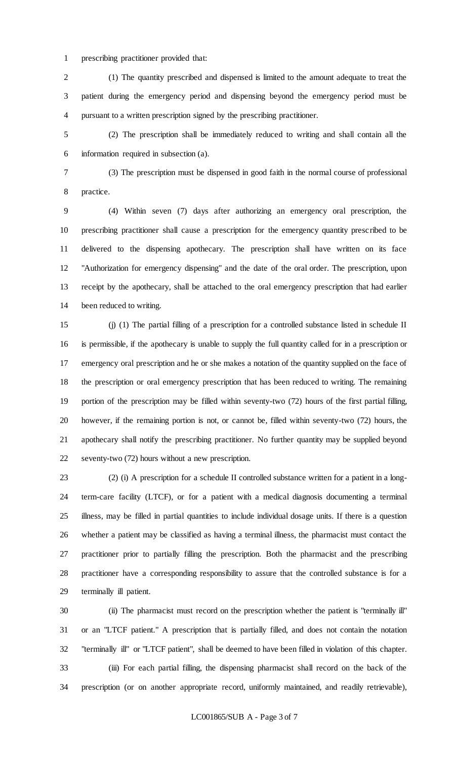prescribing practitioner provided that:

 (1) The quantity prescribed and dispensed is limited to the amount adequate to treat the patient during the emergency period and dispensing beyond the emergency period must be pursuant to a written prescription signed by the prescribing practitioner.

 (2) The prescription shall be immediately reduced to writing and shall contain all the information required in subsection (a).

(3) The prescription must be dispensed in good faith in the normal course of professional

practice.

 (4) Within seven (7) days after authorizing an emergency oral prescription, the prescribing practitioner shall cause a prescription for the emergency quantity prescribed to be delivered to the dispensing apothecary. The prescription shall have written on its face "Authorization for emergency dispensing" and the date of the oral order. The prescription, upon receipt by the apothecary, shall be attached to the oral emergency prescription that had earlier been reduced to writing.

 (j) (1) The partial filling of a prescription for a controlled substance listed in schedule II is permissible, if the apothecary is unable to supply the full quantity called for in a prescription or emergency oral prescription and he or she makes a notation of the quantity supplied on the face of the prescription or oral emergency prescription that has been reduced to writing. The remaining portion of the prescription may be filled within seventy-two (72) hours of the first partial filling, however, if the remaining portion is not, or cannot be, filled within seventy-two (72) hours, the apothecary shall notify the prescribing practitioner. No further quantity may be supplied beyond seventy-two (72) hours without a new prescription.

 (2) (i) A prescription for a schedule II controlled substance written for a patient in a long- term-care facility (LTCF), or for a patient with a medical diagnosis documenting a terminal illness, may be filled in partial quantities to include individual dosage units. If there is a question whether a patient may be classified as having a terminal illness, the pharmacist must contact the practitioner prior to partially filling the prescription. Both the pharmacist and the prescribing practitioner have a corresponding responsibility to assure that the controlled substance is for a terminally ill patient.

 (ii) The pharmacist must record on the prescription whether the patient is "terminally ill" or an "LTCF patient." A prescription that is partially filled, and does not contain the notation "terminally ill" or "LTCF patient", shall be deemed to have been filled in violation of this chapter. (iii) For each partial filling, the dispensing pharmacist shall record on the back of the prescription (or on another appropriate record, uniformly maintained, and readily retrievable),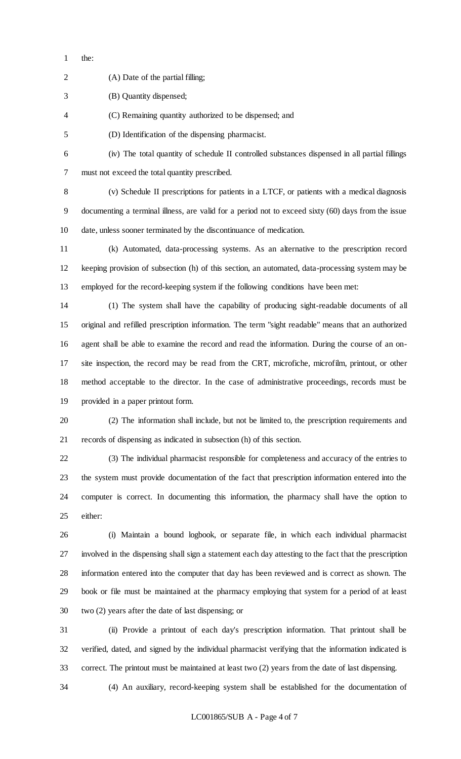the:

(A) Date of the partial filling;

| 3              | (B) Quantity dispensed;                                                                             |
|----------------|-----------------------------------------------------------------------------------------------------|
| $\overline{4}$ | (C) Remaining quantity authorized to be dispensed; and                                              |
| 5              | (D) Identification of the dispensing pharmacist.                                                    |
| 6              | (iv) The total quantity of schedule II controlled substances dispensed in all partial fillings      |
| 7              | must not exceed the total quantity prescribed.                                                      |
| 8              | (v) Schedule II prescriptions for patients in a LTCF, or patients with a medical diagnosis          |
| 9              | documenting a terminal illness, are valid for a period not to exceed sixty (60) days from the issue |
| 10             | date, unless sooner terminated by the discontinuance of medication.                                 |

 (k) Automated, data-processing systems. As an alternative to the prescription record keeping provision of subsection (h) of this section, an automated, data-processing system may be employed for the record-keeping system if the following conditions have been met:

 (1) The system shall have the capability of producing sight-readable documents of all original and refilled prescription information. The term "sight readable" means that an authorized agent shall be able to examine the record and read the information. During the course of an on- site inspection, the record may be read from the CRT, microfiche, microfilm, printout, or other method acceptable to the director. In the case of administrative proceedings, records must be provided in a paper printout form.

 (2) The information shall include, but not be limited to, the prescription requirements and records of dispensing as indicated in subsection (h) of this section.

 (3) The individual pharmacist responsible for completeness and accuracy of the entries to the system must provide documentation of the fact that prescription information entered into the computer is correct. In documenting this information, the pharmacy shall have the option to either:

 (i) Maintain a bound logbook, or separate file, in which each individual pharmacist involved in the dispensing shall sign a statement each day attesting to the fact that the prescription information entered into the computer that day has been reviewed and is correct as shown. The book or file must be maintained at the pharmacy employing that system for a period of at least two (2) years after the date of last dispensing; or

 (ii) Provide a printout of each day's prescription information. That printout shall be verified, dated, and signed by the individual pharmacist verifying that the information indicated is correct. The printout must be maintained at least two (2) years from the date of last dispensing.

(4) An auxiliary, record-keeping system shall be established for the documentation of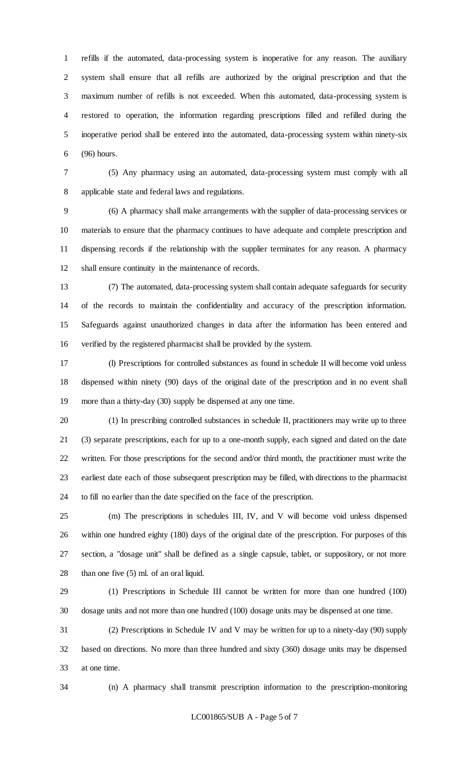refills if the automated, data-processing system is inoperative for any reason. The auxiliary system shall ensure that all refills are authorized by the original prescription and that the maximum number of refills is not exceeded. When this automated, data-processing system is restored to operation, the information regarding prescriptions filled and refilled during the inoperative period shall be entered into the automated, data-processing system within ninety-six (96) hours.

 (5) Any pharmacy using an automated, data-processing system must comply with all applicable state and federal laws and regulations.

 (6) A pharmacy shall make arrangements with the supplier of data-processing services or materials to ensure that the pharmacy continues to have adequate and complete prescription and dispensing records if the relationship with the supplier terminates for any reason. A pharmacy shall ensure continuity in the maintenance of records.

 (7) The automated, data-processing system shall contain adequate safeguards for security of the records to maintain the confidentiality and accuracy of the prescription information. Safeguards against unauthorized changes in data after the information has been entered and verified by the registered pharmacist shall be provided by the system.

 (l) Prescriptions for controlled substances as found in schedule II will become void unless dispensed within ninety (90) days of the original date of the prescription and in no event shall more than a thirty-day (30) supply be dispensed at any one time.

 (1) In prescribing controlled substances in schedule II, practitioners may write up to three (3) separate prescriptions, each for up to a one-month supply, each signed and dated on the date written. For those prescriptions for the second and/or third month, the practitioner must write the earliest date each of those subsequent prescription may be filled, with directions to the pharmacist to fill no earlier than the date specified on the face of the prescription.

 (m) The prescriptions in schedules III, IV, and V will become void unless dispensed within one hundred eighty (180) days of the original date of the prescription. For purposes of this section, a "dosage unit" shall be defined as a single capsule, tablet, or suppository, or not more than one five (5) ml. of an oral liquid.

 (1) Prescriptions in Schedule III cannot be written for more than one hundred (100) dosage units and not more than one hundred (100) dosage units may be dispensed at one time.

 (2) Prescriptions in Schedule IV and V may be written for up to a ninety-day (90) supply based on directions. No more than three hundred and sixty (360) dosage units may be dispensed at one time.

(n) A pharmacy shall transmit prescription information to the prescription-monitoring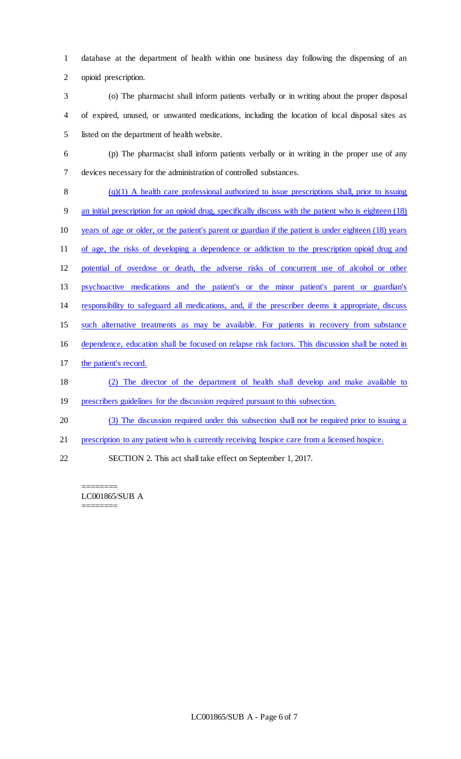database at the department of health within one business day following the dispensing of an opioid prescription.

 (o) The pharmacist shall inform patients verbally or in writing about the proper disposal of expired, unused, or unwanted medications, including the location of local disposal sites as listed on the department of health website.

 (p) The pharmacist shall inform patients verbally or in writing in the proper use of any devices necessary for the administration of controlled substances.

 $(q)(1)$  A health care professional authorized to issue prescriptions shall, prior to issuing an initial prescription for an opioid drug, specifically discuss with the patient who is eighteen (18) years of age or older, or the patient's parent or guardian if the patient is under eighteen (18) years of age, the risks of developing a dependence or addiction to the prescription opioid drug and potential of overdose or death, the adverse risks of concurrent use of alcohol or other psychoactive medications and the patient's or the minor patient's parent or guardian's responsibility to safeguard all medications, and, if the prescriber deems it appropriate, discuss such alternative treatments as may be available. For patients in recovery from substance dependence, education shall be focused on relapse risk factors. This discussion shall be noted in the patient's record. (2) The director of the department of health shall develop and make available to prescribers guidelines for the discussion required pursuant to this subsection. (3) The discussion required under this subsection shall not be required prior to issuing a

- prescription to any patient who is currently receiving hospice care from a licensed hospice.
- SECTION 2. This act shall take effect on September 1, 2017.

======== LC001865/SUB A ========